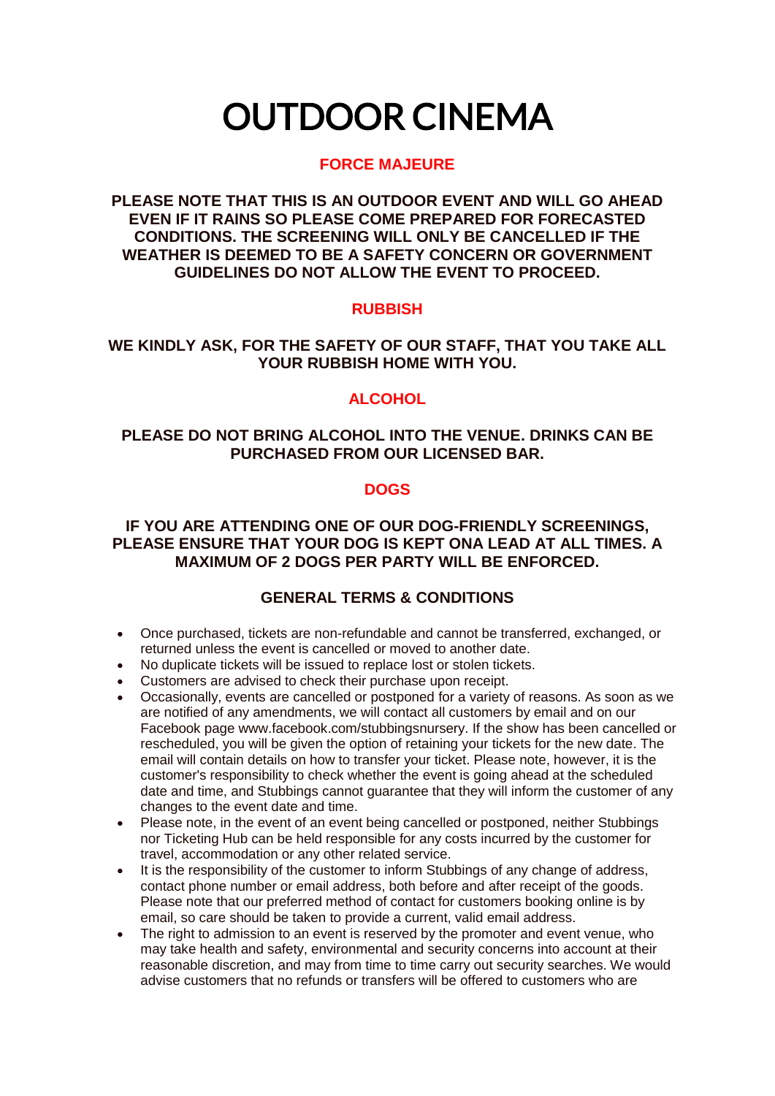# OUTDOOR CINEMA

## **FORCE MAJEURE**

**PLEASE NOTE THAT THIS IS AN OUTDOOR EVENT AND WILL GO AHEAD EVEN IF IT RAINS SO PLEASE COME PREPARED FOR FORECASTED CONDITIONS. THE SCREENING WILL ONLY BE CANCELLED IF THE WEATHER IS DEEMED TO BE A SAFETY CONCERN OR GOVERNMENT GUIDELINES DO NOT ALLOW THE EVENT TO PROCEED.**

## **RUBBISH**

## **WE KINDLY ASK, FOR THE SAFETY OF OUR STAFF, THAT YOU TAKE ALL YOUR RUBBISH HOME WITH YOU.**

# **ALCOHOL**

## **PLEASE DO NOT BRING ALCOHOL INTO THE VENUE. DRINKS CAN BE PURCHASED FROM OUR LICENSED BAR.**

#### **DOGS**

#### **IF YOU ARE ATTENDING ONE OF OUR DOG-FRIENDLY SCREENINGS, PLEASE ENSURE THAT YOUR DOG IS KEPT ONA LEAD AT ALL TIMES. A MAXIMUM OF 2 DOGS PER PARTY WILL BE ENFORCED.**

# **GENERAL TERMS & CONDITIONS**

- Once purchased, tickets are non-refundable and cannot be transferred, exchanged, or returned unless the event is cancelled or moved to another date.
- No duplicate tickets will be issued to replace lost or stolen tickets.
- Customers are advised to check their purchase upon receipt.
- Occasionally, events are cancelled or postponed for a variety of reasons. As soon as we are notified of any amendments, we will contact all customers by email and on our Facebook page www.facebook.com/stubbingsnursery. If the show has been cancelled or rescheduled, you will be given the option of retaining your tickets for the new date. The email will contain details on how to transfer your ticket. Please note, however, it is the customer's responsibility to check whether the event is going ahead at the scheduled date and time, and Stubbings cannot guarantee that they will inform the customer of any changes to the event date and time.
- Please note, in the event of an event being cancelled or postponed, neither Stubbings nor Ticketing Hub can be held responsible for any costs incurred by the customer for travel, accommodation or any other related service.
- It is the responsibility of the customer to inform Stubbings of any change of address, contact phone number or email address, both before and after receipt of the goods. Please note that our preferred method of contact for customers booking online is by email, so care should be taken to provide a current, valid email address.
- The right to admission to an event is reserved by the promoter and event venue, who may take health and safety, environmental and security concerns into account at their reasonable discretion, and may from time to time carry out security searches. We would advise customers that no refunds or transfers will be offered to customers who are